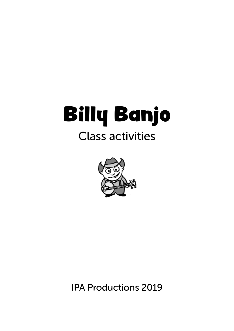# Billy Banjo Class activities



IPA Productions 2019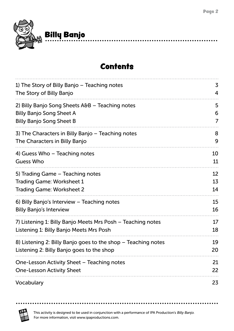.......

 $\bullet$ 



### **Contents**

| 1) The Story of Billy Banjo – Teaching notes                                                               | 3        |
|------------------------------------------------------------------------------------------------------------|----------|
| The Story of Billy Banjo                                                                                   | 4        |
| 2) Billy Banjo Song Sheets A&B – Teaching notes                                                            | 5        |
| <b>Billy Banjo Song Sheet A</b>                                                                            | 6        |
| <b>Billy Banjo Song Sheet B</b>                                                                            | 7        |
| 3) The Characters in Billy Banjo – Teaching notes                                                          | 8        |
| The Characters in Billy Banjo                                                                              | 9        |
| 4) Guess Who – Teaching notes                                                                              | 10       |
| <b>Guess Who</b>                                                                                           | 11       |
| 5) Trading Game - Teaching notes                                                                           | 12       |
| <b>Trading Game: Worksheet 1</b>                                                                           | 13       |
| <b>Trading Game: Worksheet 2</b>                                                                           | 14       |
| 6) Billy Banjo's Interview – Teaching notes                                                                | 15       |
| <b>Billy Banjo's Interview</b>                                                                             | 16       |
| 7) Listening 1: Billy Banjo Meets Mrs Posh – Teaching notes                                                | 17       |
| Listening 1: Billy Banjo Meets Mrs Posh                                                                    | 18       |
| 8) Listening 2: Billy Banjo goes to the shop – Teaching notes<br>Listening 2: Billy Banjo goes to the shop | 19<br>20 |
| One-Lesson Activity Sheet - Teaching notes<br><b>One-Lesson Activity Sheet</b>                             | 21<br>22 |
| Vocabulary                                                                                                 | 23       |



. . . . . . .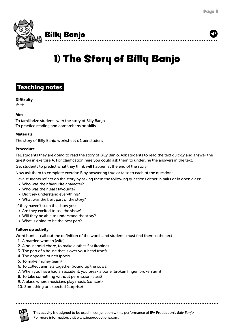<span id="page-2-0"></span>

# 1) The Story of Billy Banjo



### **Difficulty**

 $\mathbf{\hat{x}}$   $\mathbf{\hat{x}}$ 

#### Aim

To familiarize students with the story of Billy Banjo To practice reading and comprehension skills

#### **Materials**

The story of Billy Banjo worksheet x 1 per student

#### Procedure

Tell students they are going to read the story of Billy Banjo. Ask students to read the text quickly and answer the question in exercise A. For clarification here you could ask them to underline the answers in the text.

Get students to predict what they think will happen at the end of the story.

Now ask them to complete exercise B by answering true or false to each of the questions.

Have students reflect on the story by asking them the following questions either in pairs or in open class:

- Who was their favourite character?
- Who was their least favourite?
- Did they understand everything?
- What was the best part of the story?

(if they haven't seen the show yet)

- Are they excited to see the show?
- Will they be able to understand the story?
- What is going to be the best part?

### Follow up activity

Word hunt! – call out the definition of the words and students must find them in the text

- 1. A married woman (wife)
- 2. A household chore, to make clothes flat (ironing)
- 3. The part of a house that is over your head (roof)
- 4. The opposite of rich (poor)
- 5. To make money (earn)
- 6. To collect animals together (round up the cows)
- 7. When you have had an accident, you break a bone (broken finger, broken arm)
- 8. To take something without permission (steal)
- 9. A place where musicians play music (concert)
- 10. Something unexpected (surprise)

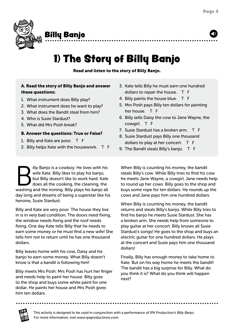<span id="page-3-0"></span>

## 1) The Story of Billy Banjo

Read and listen to the story of Billy Banjo.

### A. Read the story of Billy Banjo and answer these questions:

- 1. What instrument does Billy play?
- 2. What instrument does he want to play?
- 3. What does the Bandit steal from him?
- 4. Who is Susie Stardust?
- 5. What did Mrs Posh break?

### B. Answer the questions: True or False?

- 1. Billy and Kate are poor. T F
- 2. Billy helps Kate with the housework. T F

illy Banjo is a cowboy. He lives with his<br>wife Kate. Billy likes to play his banjo,<br>but Billy doesn't like to work hard. Kate<br>does all the cooking, the cleaning, the<br>washing and the ironing. Billy plays his banjo all wife Kate. Billy likes to play his banjo, but Billy doesn't like to work hard. Kate does all the cooking, the cleaning, the washing and the ironing. Billy plays his banjo all day long and dreams of being a superstar like his heroine, Susie Stardust.

Billy and Kate are very poor. The house they live in is in very bad condition. The doors need fixing, the window needs fixing and the roof needs fixing. One day Kate tells Billy that he needs to earn some money or he must find a new wife! She tells him not to return until he has one thousand dollars.

Billy leaves home with his cow, Daisy and his banjo to earn some money. What Billy doesn't know is that a bandit is following him!

dollar. He paints her house and Mrs Posh gives Billy meets Mrs Posh. Mrs Posh has hurt her finger and needs help to paint her house. Billy goes to the shop and buys some white paint for one him ten dollars.

- 3. Kate tells Billy he must earn one hundred dollars to repair the house. T F
- 4. Billy paints the house blue. T F
- 5. Mrs Posh pays Billy ten dollars for painting her house. T F
- 6. Billy sells Daisy the cow to Jane Wayne, the cowgirl. T F
- 7. Susie Stardust has a broken arm. T F
- 8. Susie Stardust pays Billy one thousand dollars to play at her concert. T F
- 9. The Bandit steals Billy's banjo. T F

When Billy is counting his money, the bandit steals Billy's cow. While Billy tries to find his cow he meets Jane Wayne, a cowgirl. Jane needs help to round up her cows. Billy goes to the shop and buys some rope for ten dollars. He rounds up the cows and Jane pays him one hundred dollars.

When Billy is counting his money, the bandit returns and steals Billy's banjo. While Billy tries to find his banjo he meets Susie Stardust. She has a broken arm. She needs help from someone to play guitar at her concert. Billy knows all Susie Stardust's songs! He goes to the shop and buys an electric guitar for one hundred dollars. He plays at the concert and Susie pays him one thousand dollars!

Finally, Billy has enough money to take home to Kate. But on his way home he meets the bandit! The bandit has a big surprise for Billy. What do you think it is? What do you think will happen next?

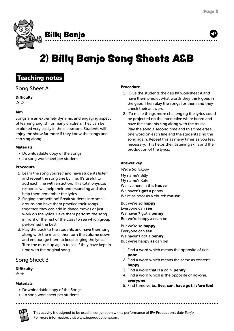<span id="page-4-0"></span>

## 2) Billy Banjo Song Sheets A&B

### Teaching notes

### Song Sheet A

### **Difficulty**

 $\mathbf{\hat{x}} \mathbf{\hat{x}}$ 

### Aim

Songs are an extremely dynamic and engaging aspect of learning English for many children. They can be exploited very easily in the classroom. Students will enjoy the show far more if they know the songs and can sing along!

### **Materials**

- Downloadable copy of the Songs
- 1 x song worksheet per student

### Procedure

- 1. Learn the song yourself and have students listen and repeat the song line by line. It's useful to add each line with an action. This total physical response will help their understanding and also help them remember the lyrics
- 2. Singing competition! Break students into small groups and have them practice their songs together, they can add in dance moves or just work on the lyrics. Have them perform the song in front of the rest of the class to see which group performed the best
- 3. Play the track to the students and have them sing along with the music, then turn the volume down and encourage them to keep singing the lyrics. Turn the music up again to see if they have kept in time with the original song.

### Song Sheet B

### **Difficulty**

✰ ✰

### **Materials**

- Downloadable copy of the Songs
- 1 x song worksheet per students

### Procedure

- 1. Give the students the gap fill worksheet A and have them predict what words they think goes in the gaps. Then play the songs for them and they check their answers.
- 2. To make things more challenging the lyrics could be projected on the interactive white board and have the students sing along with the music. Play the song a second time and this time erase one word on each line and the students sing the song again. Repeat this as many times as you feel necessary. This helps their listening skills and their production of the lyrics.

### Answer key

We're So Happy My name's Billy My name's Kate We live here in this **house** We haven't got a penny We're as poor as a church **mouse** 

But we're so happy Everyone can see We haven't got a **penny** But we're happy as can be

But we're so happy Everyone can see We haven't got a **penny** But we're happy as can be!

- 1. Find a word which means the opposite of rich. poor
- 2. Find a word which means the same as content. happy
- 3. Find a word that is a coin. **penny**
- 4. Find a word which is the opposite of no-one. everyone
- 5. Find three verbs. live, can, have got, is/are (be)

<sup>I</sup> PA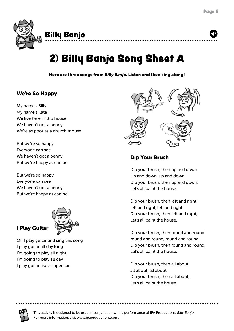<span id="page-5-0"></span>

# 2) Billy Banjo Song Sheet A

Here are three songs from Billy Banjo. Listen and then sing along!

### We're So Happy

My name's Billy My name's Kate We live here in this house We haven't got a penny We're as poor as a church mouse

But we're so happy Everyone can see We haven't got a penny But we're happy as can be

But we're so happy Everyone can see We haven't got a penny But we're happy as can be!



I Play Guitar

Oh I play guitar and sing this song I play guitar all day long I'm going to play all night I'm going to play all day I play guitar like a superstar



### Dip Your Brush

Dip your brush, then up and down Up and down, up and down Dip your brush, then up and down, Let's all paint the house.

Dip your brush, then left and right left and right, left and right Dip your brush, then left and right, Let's all paint the house.

Dip your brush, then round and round round and round, round and round Dip your brush, then round and round, Let's all paint the house.

Dip your brush, then all about all about, all about Dip your brush, then all about, Let's all paint the house.

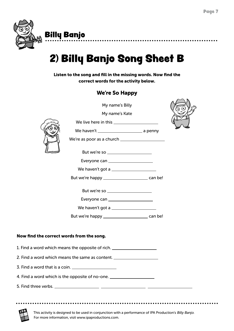<span id="page-6-0"></span>

Billy Banjo

# 2) Billy Banjo Song Sheet B

Listen to the song and fill in the missing words. Now find the correct words for the activity below.

### We're So Happy

|                                           | My name's Billy                                                                  |  |
|-------------------------------------------|----------------------------------------------------------------------------------|--|
|                                           | My name's Kate                                                                   |  |
|                                           |                                                                                  |  |
|                                           |                                                                                  |  |
|                                           |                                                                                  |  |
|                                           | But we're so ______________________                                              |  |
|                                           | Everyone can ______________________                                              |  |
|                                           |                                                                                  |  |
|                                           |                                                                                  |  |
|                                           |                                                                                  |  |
|                                           | Everyone can ______________________                                              |  |
|                                           | We haven't got a ______________________                                          |  |
|                                           |                                                                                  |  |
| Now find the correct words from the song. |                                                                                  |  |
|                                           | 1. Find a word which means the opposite of rich. _______________________________ |  |
|                                           | 2. Find a word which means the same as content. ________________________________ |  |
|                                           |                                                                                  |  |
|                                           | 4. Find a word which is the opposite of no-one. ________________________________ |  |
|                                           |                                                                                  |  |
|                                           |                                                                                  |  |



This activity is designed to be used in conjunction with a performance of IPA Production's Billy Banjo. For more information, visit www.ipaproductions.com.

. . . . . . . . . . . . . . . . .

. . . . . . . . . . . . .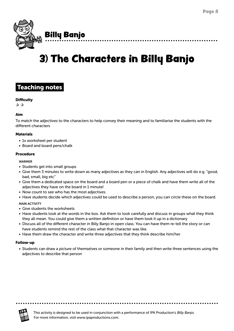<span id="page-7-0"></span>

# 3) The Characters in Billy Banjo

### Teaching notes

#### **Difficulty**

 $\mathbf{\hat{x}}$   $\mathbf{\hat{x}}$ 

### Aim

To match the adjectives to the characters to help convey their meaning and to familiarise the students with the different characters

#### **Materials**

- 1x worksheet per student
- Board and board pens/chalk

#### Procedure

#### WARMER

- Students get into small groups
- Give them 3 minutes to write down as many adjectives as they can in English. Any adjectives will do e.g. "good, bad, small, big etc"
- Give them a dedicated space on the board and a board pen or a piece of chalk and have them write all of the adjectives they have on the board in 1 minute!
- Now count to see who has the most adjectives.
- Have students decide which adjectives could be used to describe a person, you can circle these on the board. MAIN ACTIVITY

- Give students the worksheets
- Have students look at the words in the box. Ask them to look carefully and discuss in groups what they think they all mean. You could give them a written definition or have them look it up in a dictionary
- Discuss all of the different character in Billy Banjo in open class. You can have them re-tell the story or can have students remind the rest of the class what that character was like.
- Have them draw the character and write three adjectives that they think describe him/her

...........

#### Follow-up

• Students can draw a picture of themselves or someone in their family and then write three sentences using the adjectives to describe that person

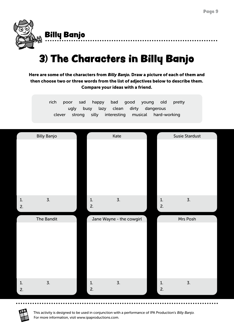<span id="page-8-0"></span>

# 3) The Characters in Billy Banjo

Here are some of the characters from Billy Banjo. Draw a picture of each of them and then choose two or three words from the list of adjectives below to describe them. Compare your ideas with a friend.

> rich poor sad happy bad good young old pretty ugly busy lazy clean dirty dangerous clever strong silly interesting musical hard-working

|          | <b>Billy Banjo</b> |          | Kate                     |          | <b>Susie Stardust</b> |  |
|----------|--------------------|----------|--------------------------|----------|-----------------------|--|
|          |                    |          |                          |          |                       |  |
| 1.<br>2. | $\overline{3}$ .   | 1.<br>2. | $\overline{3}$ .         | 1.<br>2. | $\overline{3}$ .      |  |
|          | The Bandit         |          | Jane Wayne - the cowgirl |          | Mrs Posh              |  |
|          |                    |          |                          |          |                       |  |
|          |                    |          |                          |          |                       |  |

<sup>I</sup> PA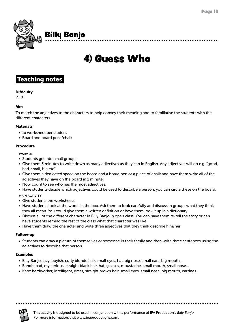<span id="page-9-0"></span>

## 4) Guess Who

### Teaching notes

### **Difficulty**

 $\mathbf{\hat{x}}$ 

### Aim

To match the adjectives to the characters to help convey their meaning and to familiarise the students with the different characters

### **Materials**

- 1x worksheet per student
- Board and board pens/chalk

### Procedure

#### WARMER

- Students get into small groups
- Give them 3 minutes to write down as many adjectives as they can in English. Any adjectives will do e.g. "good, bad, small, big etc"
- Give them a dedicated space on the board and a board pen or a piece of chalk and have them write all of the adjectives they have on the board in 1 minute!
- Now count to see who has the most adjectives.
- Have students decide which adjectives could be used to describe a person, you can circle these on the board.

### MAIN ACTIVITY

- Give students the worksheets
- Have students look at the words in the box. Ask them to look carefully and discuss in groups what they think they all mean. You could give them a written definition or have them look it up in a dictionary
- Discuss all of the different character in Billy Banjo in open class. You can have them re-tell the story or can have students remind the rest of the class what that character was like.
- Have them draw the character and write three adjectives that they think describe him/her

#### Follow-up

• Students can draw a picture of themselves or someone in their family and then write three sentences using the adjectives to describe that person

### Examples

• Billy Banjo: lazy, boyish, curly blonde hair, small eyes, hat, big nose, small ears, big mouth…

. . . . . . . . . . . . . . . . .

- Bandit: bad, mysterious, straight black hair, hat, glasses, moustache, small mouth, small nose…
- Kate: hardworker, intelligent, dress, straight brown hair, small eyes, small nose, big mouth, earrings…

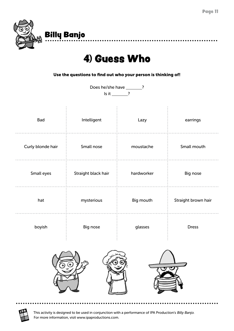................

<span id="page-10-0"></span>

## 4) Guess Who

............

Use the questions to find out who your person is thinking of!

Does he/she have \_\_\_\_\_\_?  $Is it ?$ 

| Bad               | Intelligent         | Lazy          | earrings            |  |  |
|-------------------|---------------------|---------------|---------------------|--|--|
| Curly blonde hair | Small nose          | moustache     | Small mouth         |  |  |
| Small eyes        | Straight black hair | hardworker    | Big nose            |  |  |
| hat               | mysterious          | Big mouth<br> | Straight brown hair |  |  |
| boyish            | Big nose            | glasses       | <b>Dress</b>        |  |  |
|                   |                     |               |                     |  |  |



This activity is designed to be used in conjunction with a performance of IPA Production's Billy Banjo. For more information, visit www.ipaproductions.com.

. . . . . . . . . . . . . . .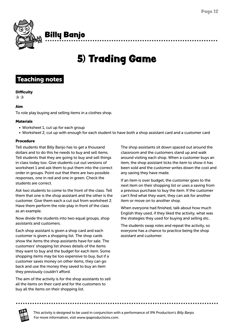<span id="page-11-0"></span>

# 5) Trading Game

### Teaching notes

### **Difficulty**

 $\mathbf{\hat{x}}$ 

### Aim

To role play buying and selling items in a clothes shop.

### **Materials**

- Worksheet 1, cut up for each group
- Worksheet 2, cut up with enough for each student to have both a shop assistant card and a customer card

### Procedure

Tell students that Billy Banjo has to get a thousand dollars and to do this he needs to buy and sell items. Tell students that they are going to buy and sell things in class today too. Give students cut out versions of worksheet 1 and ask them to put them into the correct order in groups. Point out that there are two possible responses, one in red and one in green. Check the students are correct.

Ask two students to come to the front of the class. Tell them that one is the shop assistant and the other is the customer. Give them each a cut out from worksheet 2. Have them perform the role-play in front of the class as an example.

Now divide the students into two equal groups, shop assistants and customers.

Each shop assistant is given a shop card and each customer is given a shopping list. The shop cards show the items the shop assistants have for sale. The customers' shopping list shows details of the items they want to buy and the budget for each item. Some shopping items may be too expensive to buy, but if a customer saves money on other items, they can go back and use the money they saved to buy an item they previously couldn't afford.

buy all the items on their shopping list. The aim of the activity is for the shop assistants to sell all the items on their card and for the customers to

The shop assistants sit down spaced out around the classroom and the customers stand up and walk around visiting each shop. When a customer buys an item, the shop assistant ticks the item to show it has been sold and the customer writes down the cost and any saving they have made.

If an item is over budget, the customer goes to the next item on their shopping list or uses a saving from a previous purchase to buy the item. If the customer can't find what they want, they can ask for another item or move on to another shop.

When everyone had finished, talk about how much English they used, if they liked the activity, what was the strategies they used for buying and selling etc.

The students swap roles and repeat the activity, so everyone has a chance to practice being the shop assistant and customer.



This activity is designed to be used in conjunction with a performance of IPA Production's Billy Banjo. For more information, visit www.ipaproductions.com.

. . . . . . . . . . . . .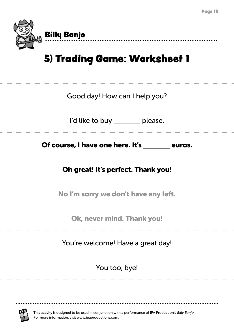

<span id="page-12-0"></span>

## 5) Trading Game: Worksheet 1

| Good day! How can I help you?        |                                                 |
|--------------------------------------|-------------------------------------------------|
| I'd like to buy _______ please.      |                                                 |
|                                      | Of course, I have one here. It's _______ euros. |
| Oh great! It's perfect. Thank you!   |                                                 |
| No I'm sorry we don't have any left. |                                                 |
| Ok, never mind. Thank you!           |                                                 |
| You're welcome! Have a great day!    |                                                 |
| You too, bye!                        |                                                 |

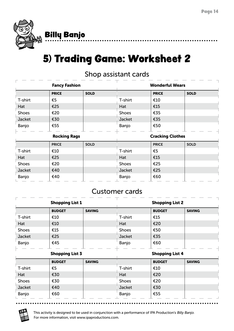<span id="page-13-0"></span>

# 5) Trading Game: Worksheet 2

### Shop assistant cards

| <b>Fancy Fashion</b> |              |                         | <b>Wonderful Wears</b> |              |             |
|----------------------|--------------|-------------------------|------------------------|--------------|-------------|
|                      | <b>PRICE</b> | <b>SOLD</b>             |                        | <b>PRICE</b> | <b>SOLD</b> |
| T-shirt              | €5           |                         | T-shirt                | €10          |             |
| Hat                  | €25          |                         | Hat                    | €15          |             |
| <b>Shoes</b>         | €20          |                         | <b>Shoes</b>           | €35          |             |
| Jacket               | €30          |                         | Jacket                 | €35          |             |
| Banjo                | €55          |                         | Banjo                  | €50          |             |
| <b>Rocking Rags</b>  |              | <b>Cracking Clothes</b> |                        |              |             |
|                      | <b>PRICE</b> | <b>SOLD</b>             |                        | <b>PRICE</b> | <b>SOLD</b> |
| T-shirt              | €10          |                         | T-shirt                | €5           |             |
| Hat                  | €25          |                         | Hat                    | €15          |             |
| <b>Shoes</b>         | €20          |                         | <b>Shoes</b>           | €25          |             |
| Jacket               | €40          |                         | Jacket                 | €25          |             |
| Banjo                | €40          |                         | Banjo                  | €60          |             |

### Customer cards

|                        | <b>Shopping List 1</b> |                        |              | <b>Shopping List 2</b> |               |
|------------------------|------------------------|------------------------|--------------|------------------------|---------------|
|                        | <b>BUDGET</b>          | <b>SAVING</b>          |              | <b>BUDGET</b>          | <b>SAVING</b> |
| T-shirt                | €10                    |                        | T-shirt      | €15                    |               |
| Hat                    | €10                    |                        | Hat          | €20                    |               |
| <b>Shoes</b>           | €15                    |                        | <b>Shoes</b> | €50                    |               |
| Jacket                 | €25                    |                        | Jacket       | €35                    |               |
| Banjo                  | €45                    |                        | Banjo        | €60                    |               |
| <b>Shopping List 3</b> |                        | <b>Shopping List 4</b> |              |                        |               |
|                        | <b>BUDGET</b>          | <b>SAVING</b>          |              | <b>BUDGET</b>          | <b>SAVING</b> |
| T-shirt                | €5                     |                        | T-shirt      | €10                    |               |
| Hat                    | €30                    |                        | Hat          | €20                    |               |
|                        |                        |                        |              |                        |               |
| <b>Shoes</b>           | €30                    |                        | <b>Shoes</b> | €20                    |               |
| Jacket                 | €40                    |                        | Jacket       | €30                    |               |

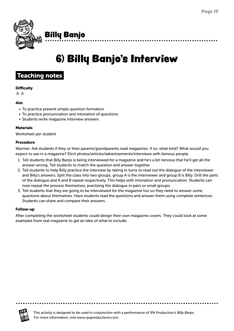<span id="page-14-0"></span>

# 6) Billy Banjo's Interview

### Teaching notes

### **Difficulty**

✰ ✰

### Aim

- To practice present simple question formation
- To practice pronunciation and intonation of questions
- Students write magazine interview answers

### Materials

Worksheet per student

### Procedure

Warmer: Ask students if they or their parents/grandparents read magazines. If so, what kind? What would you expect to see in a magazine? Elicit photos/articles/advertisements/interviews with famous people.

- 1. Tell students that Billy Banjo is being interviewed for a magazine and he's a bit nervous that he'll get all the answer wrong. Tell students to match the question and answer together
- 2. Tell students to help Billy practice the interview by taking in turns to read out the dialogue of the interviewer and Billy's answers. Split the class into two groups; group A is the interviewer and group B is Billy. Drill the parts of the dialogue and A and B repeat respectively. This helps with intonation and pronunciation. Students can now repeat the process themselves, practising the dialogue in pairs or small groups.
- 3. Tell students that they are going to be interviewed for the magazine too so they need to answer some questions about themselves. Have students read the questions and answer them using complete sentences. Students can share and compare their answers.

### Follow-up

After completing the worksheet students could design their own magazine covers. They could look at some examples from real magazine to get an idea of what to include.

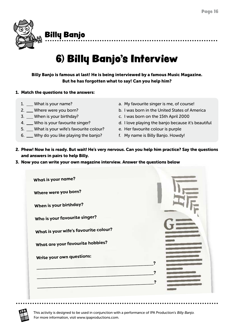<span id="page-15-0"></span>

# 6) Billy Banjo's Interview

Billy Banjo is famous at last! He is being interviewed by a famous Music Magazine. But he has forgotten what to say! Can you help him?

### 1. Match the questions to the answers:

- 1. What is your name?
- 2. Where were you born?
- 3. When is your birthday?
- 4. Who is your favourite singer?
- 5. What is your wife's favourite colour?
- 6. Why do you like playing the banjo?
- a. My favourite singer is me, of course!
- b. I was born in the United States of America
- c. I was born on the 15th April 2000
- d. I love playing the banjo because it's beautiful
- e. Her favourite colour is purple
- f. My name is Billy Banjo. Howdy!
- 2. Phew! Now he is ready. But wait! He's very nervous. Can you help him practice? Say the questions and answers in pairs to help Billy.
- 3. Now you can write your own magazine interview. Answer the questions below

| What is your name?                    |            |
|---------------------------------------|------------|
| Where were you born?                  |            |
| When is your birthday?                |            |
| Who is your favourite singer?         |            |
| What is your wife's favourite colour? |            |
| What are your favourite hobbies?      |            |
| Write your own questions:             | 2          |
|                                       | 7          |
|                                       | $\ddot{ }$ |
|                                       |            |

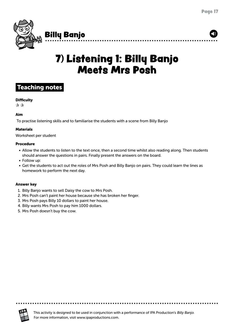<span id="page-16-0"></span>

## 7) Listening 1: Billy Banjo Meets Mrs Posh

### Teaching notes

### **Difficulty**

 $\mathbf{\hat{x}} \times$ 

### Aim

To practise listening skills and to familiarise the students with a scene from Billy Banjo

### Materials

Worksheet per student

### Procedure

- Allow the students to listen to the text once, then a second time whilst also reading along. Then students should answer the questions in pairs. Finally present the answers on the board.
- Follow up:
- Get the students to act out the roles of Mrs Posh and Billy Banjo on pairs. They could learn the lines as homework to perform the next day.

### Answer key

- 1. Billy Banjo wants to sell Daisy the cow to Mrs Posh.
- 2. Mrs Posh can't paint her house because she has broken her finger.
- 3. Mrs Posh pays Billy 10 dollars to paint her house.
- 4. Billy wants Mrs Posh to pay him 1000 dollars.
- 5. Mrs Posh doesn't buy the cow.

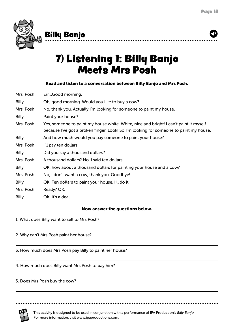<span id="page-17-0"></span>

### Billy Banjo

## 7) Listening 1: Billy Banjo Meets Mrs Posh

### Read and listen to a conversation between Billy Banjo and Mrs Posh.

| Mrs. Posh    | ErrGood morning.                                                                                                                                                                |
|--------------|---------------------------------------------------------------------------------------------------------------------------------------------------------------------------------|
| <b>Billy</b> | Oh, good morning. Would you like to buy a cow?                                                                                                                                  |
| Mrs. Posh    | No, thank you. Actually I'm looking for someone to paint my house.                                                                                                              |
| <b>Billy</b> | Paint your house?                                                                                                                                                               |
| Mrs. Posh    | Yes, someone to paint my house white. White, nice and bright! I can't paint it myself.<br>because I've got a broken finger. Look! So I'm looking for someone to paint my house. |
| <b>Billy</b> | And how much would you pay someone to paint your house?                                                                                                                         |
| Mrs. Posh    | I'll pay ten dollars.                                                                                                                                                           |
| <b>Billy</b> | Did you say a thousand dollars?                                                                                                                                                 |
| Mrs. Posh    | A thousand dollars? No, I said ten dollars.                                                                                                                                     |
| <b>Billy</b> | OK, how about a thousand dollars for painting your house and a cow?                                                                                                             |
| Mrs. Posh    | No, I don't want a cow, thank you. Goodbye!                                                                                                                                     |
| <b>Billy</b> | OK. Ten dollars to paint your house. I'll do it.                                                                                                                                |
| Mrs. Posh    | Really? OK.                                                                                                                                                                     |
| <b>Billy</b> | OK. It's a deal.                                                                                                                                                                |

### Now answer the questions below.

1. What does Billy want to sell to Mrs Posh?

2. Why can't Mrs Posh paint her house?

3. How much does Mrs Posh pay Billy to paint her house?

4. How much does Billy want Mrs Posh to pay him?

5. Does Mrs Posh buy the cow?



This activity is designed to be used in conjunction with a performance of IPA Production's Billy Banjo. For more information, visit www.ipaproductions.com.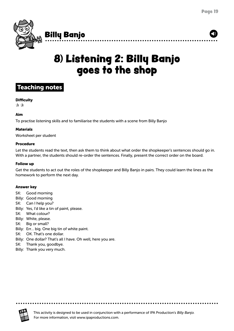<span id="page-18-0"></span>

## 8) Listening 2: Billy Banjo goes to the shop



#### **Difficulty**

 $\mathbf{\hat{x}} \times$ 

#### Aim

To practise listening skills and to familiarise the students with a scene from Billy Banjo

#### Materials

Worksheet per student

#### Procedure

Let the students read the text, then ask them to think about what order the shopkeeper's sentences should go in. With a partner, the students should re-order the sentences. Finally, present the correct order on the board.

#### Follow up

Get the students to act out the roles of the shopkeeper and Billy Banjo in pairs. They could learn the lines as the homework to perform the next day.

#### Answer key

- SK: Good morning
- Billy: Good morning
- SK: Can I help you?
- Billy: Yes, I'd like a tin of paint, please.
- SK: What colour?
- Billy: White, please.
- SK: Big or small?
- Billy: Err… big. One big tin of white paint.
- SK: OK. That's one dollar.
- Billy: One dollar? That's all I have. Oh well, here you are.
- SK: Thank you, goodbye.
- Billy: Thank you very much.

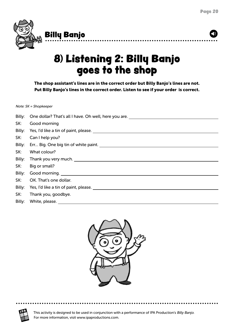<span id="page-19-0"></span>

## 8) Listening 2: Billy Banjo goes to the shop

The shop assistant's lines are in the correct order but Billy Banjo's lines are not. Put Billy Banjo's lines in the correct order. Listen to see if your order is correct.

Note: SK = Shopkeeper

| Billy: | One dollar? That's all I have. Oh well, here you are.                                                          |
|--------|----------------------------------------------------------------------------------------------------------------|
| SK:    | Good morning                                                                                                   |
| Billy: |                                                                                                                |
| SK:    | Can I help you?                                                                                                |
| Billy: |                                                                                                                |
| SK:    | What colour?                                                                                                   |
| Billy: |                                                                                                                |
| SK:    | Big or small?                                                                                                  |
| Billy: | Good morning.                                                                                                  |
| SK:    | OK. That's one dollar.                                                                                         |
| Billy: | Yes, I'd like a tin of paint, please. Notified the state of the state of the state of the state of the state o |
| SK:    | Thank you, goodbye.                                                                                            |
| Billy: | White, please.                                                                                                 |



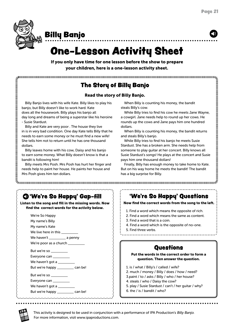<span id="page-20-0"></span>

### Billy Banjo

## One-Lesson Activity Sheet

If you only have time for one lesson before the show to prepare your children, here is a one-lesson activity sheet.

### The Story of Billy Banjo

### Read the story of Billy Banjo.

Billy Banjo lives with his wife Kate. Billy likes to play his banjo, but Billy doesn't like to work hard. Kate does all the housework. Billy plays his banjo all day long and dreams of being a superstar like his heroine - Susie Stardust.

Billy and Kate are very poor . The house they live in is in very bad condition. One day Kate tells Billy that he needs to earn some money or he must find a new wife! She tells him not to return until he has one thousand dollars.

Billy leaves home with his cow, Daisy and his banjo to earn some money. What Billy doesn't know is that a bandit is following him!

Billy meets Mrs Posh. Mrs Posh has hurt her finger and needs help to paint her house. He paints her house and Mrs Posh gives him ten dollars.

When Billy is counting his money, the bandit steals Billy's cow.

While Billy tries to find his cow he meets Jane Wayne, a cowgirl. Jane needs help to round up her cows. He rounds up the cows and Jane pays him one hundred dollars.

When Billy is counting his money, the bandit returns and steals Billy's banjo.

While Billy tries to find his banjo he meets Susie Stardust. She has a broken arm. She needs help from someone to play guitar at her concert. Billy knows all Susie Stardust's songs! He plays at the concert and Susie pays him one thousand dollars!

Finally, Billy has enough money to take home to Kate. But on his way home he meets the bandit! The bandit has a big surprise for Billy.

### 'We're So Happy' Gap-fill

Listen to the song and fill in the missing words. Now find the correct words for the activity below.

| We're So Happy                     |  |
|------------------------------------|--|
| My name's Billy                    |  |
| My name's Kate                     |  |
| We live here in this _________     |  |
| We haven't ___________ a penny     |  |
| We're poor as a church _________   |  |
| But we're so _________             |  |
| Everyone can __________            |  |
| We haven't got a __________        |  |
| But we're happy __________ can be! |  |
| But we're so _________             |  |
| Everyone can _________             |  |
| We haven't got a __________        |  |

But we're happy \_\_\_\_\_\_\_\_\_\_ can be!

### 'We're So Happy' Questions

Now find the correct words from the song to the left.

- 1. Find a word which means the opposite of rich.
- 2. Find a word which means the same as content.
- 3. Find a word that is a coin.
- 4. Find a word which is the opposite of no-one.
- 5. Find three verbs.
- 

### **Questions**

#### Put the words in the correct order to form a question. Then answer the question.

- 1. is / what / Billy's / called / wife?
- 2. much / money / Billy / does / how / need?
- 3.paint / to / asks / Billy / who / her house?
- 4. steals / who / Daisy the cow?
- 5. play / Susie Stardust / can't / her guitar / why?
- 6. the / is / bandit / who?

<sup>I</sup> PA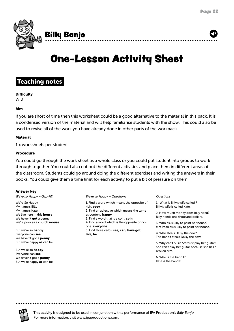<span id="page-21-0"></span>

## One-Lesson Activity Sheet

### Teaching notes

**Difficulty** 

 $\mathbf{\hat{x}} \times$ 

### Aim

If you are short of time then this worksheet could be a good alternative to the material in this pack. It is a condensed version of the material and will help familiarise students with the show. This could also be used to revise all of the work you have already done in other parts of the workpack.

### **Material**

1 x worksheets per student

#### Procedure

You could go through the work sheet as a whole class or you could put student into groups to work through together. You could also cut out the different activities and place them in different areas of the classroom. Students could go around doing the different exercises and writing the answers in their books. You could give them a time limit for each activity to put a bit of pressure on them.

#### Answer key

We're so Happy – Gap-Fill

We're So Happy My name's Billy My name's Kate We live here in this **house** We haven't got a penny We're poor as a church **mouse** 

But we're so happy Everyone can see We haven't got a **penny** But we're happy as can be!

But we're so happy Everyone can see We haven't got a **penny** But we're happy as can be! We're so Happy – Questions

1. Find a word which means the opposite of rich. poor 2. Find an adjective which means the same as content. **happy** 3. Find a word that is a coin. coin 4. Find a word which is the opposite of noone. everyone 5. Find three verbs. see, can, have got, live, be

#### Questions

1. What is Billy's wife called ? Billy's wife is called Kate.

2. How much money does Billy need? Billy needs one thousand dollars.

3. Who asks Billy to paint her house? Mrs Posh asks Billy to paint her house.

4. Who steals Daisy the cow? The Bandit steals Daisy the cow.

5. Why can't Susie Stardust play her guitar? She can't play her guitar because she has a broken arm.

6. Who is the bandit? Kate is the bandit!



This activity is designed to be used in conjunction with a performance of IPA Production's Billy Banjo. For more information, visit www.ipaproductions.com.

. . . . . . . . . . .